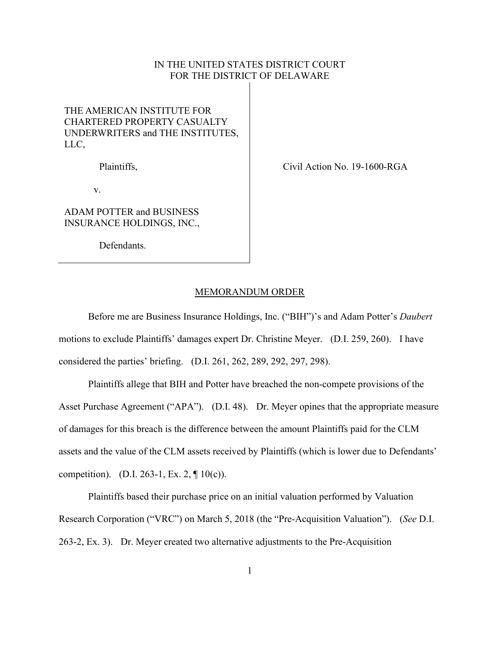## IN THE UNITED STATES DISTRICT COURT FOR THE DISTRICT OF DELAWARE

## THE AMERICAN INSTITUTE FOR CHARTERED PROPERTY CASUALTY UNDERWRITERS and THE INSTITUTES, LLC,

Plaintiffs,

v.

ADAM POTTER and BUSINESS INSURANCE HOLDINGS, INC.,

Defendants.

Civil Action No. 19-1600-RGA

## MEMORANDUM ORDER

Before me are Business Insurance Holdings, Inc. ("BIH")'s and Adam Potter's *Daubert* motions to exclude Plaintiffs' damages expert Dr. Christine Meyer. (D.I. 259, 260). I have considered the parties' briefing. (D.I. 261, 262, 289, 292, 297, 298).

Plaintiffs allege that BIH and Potter have breached the non-compete provisions of the Asset Purchase Agreement ("APA"). (D.I. 48). Dr. Meyer opines that the appropriate measure of damages for this breach is the difference between the amount Plaintiffs paid for the CLM assets and the value of the CLM assets received by Plaintiffs (which is lower due to Defendants' competition). (D.I. 263-1, Ex. 2, ¶ 10(c)).

Plaintiffs based their purchase price on an initial valuation performed by Valuation Research Corporation ("VRC") on March 5, 2018 (the "Pre-Acquisition Valuation"). (*See* D.I. 263-2, Ex. 3). Dr. Meyer created two alternative adjustments to the Pre-Acquisition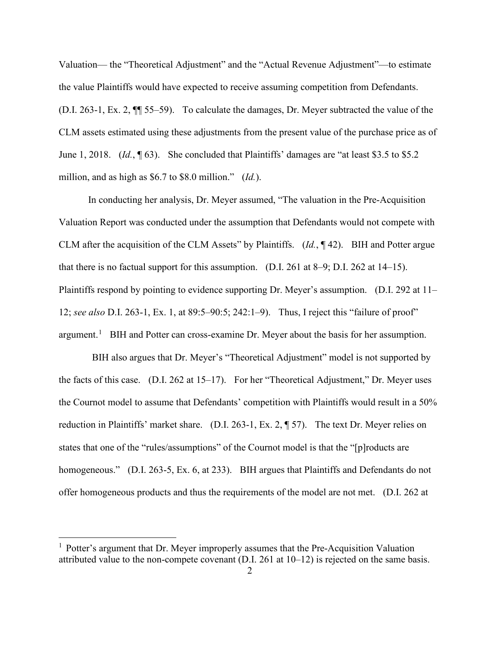Valuation— the "Theoretical Adjustment" and the "Actual Revenue Adjustment"—to estimate the value Plaintiffs would have expected to receive assuming competition from Defendants. (D.I. 263-1, Ex. 2, ¶¶ 55–59). To calculate the damages, Dr. Meyer subtracted the value of the CLM assets estimated using these adjustments from the present value of the purchase price as of June 1, 2018. *(Id.*, 163). She concluded that Plaintiffs' damages are "at least \$3.5 to \$5.2 million, and as high as \$6.7 to \$8.0 million." (*Id.*).

In conducting her analysis, Dr. Meyer assumed, "The valuation in the Pre-Acquisition Valuation Report was conducted under the assumption that Defendants would not compete with CLM after the acquisition of the CLM Assets" by Plaintiffs. (*Id.*, ¶ 42). BIH and Potter argue that there is no factual support for this assumption. (D.I. 261 at 8–9; D.I. 262 at 14–15). Plaintiffs respond by pointing to evidence supporting Dr. Meyer's assumption. (D.I. 292 at 11– 12; *see also* D.I. 263-1, Ex. 1, at 89:5–90:5; 242:1–9). Thus, I reject this "failure of proof" argument.<sup>[1](#page-1-0)</sup> BIH and Potter can cross-examine Dr. Meyer about the basis for her assumption.

BIH also argues that Dr. Meyer's "Theoretical Adjustment" model is not supported by the facts of this case. (D.I. 262 at 15–17). For her "Theoretical Adjustment," Dr. Meyer uses the Cournot model to assume that Defendants' competition with Plaintiffs would result in a 50% reduction in Plaintiffs' market share. (D.I. 263-1, Ex. 2, ¶ 57). The text Dr. Meyer relies on states that one of the "rules/assumptions" of the Cournot model is that the "[p]roducts are homogeneous." (D.I. 263-5, Ex. 6, at 233). BIH argues that Plaintiffs and Defendants do not offer homogeneous products and thus the requirements of the model are not met. (D.I. 262 at

<span id="page-1-0"></span> $<sup>1</sup>$  Potter's argument that Dr. Meyer improperly assumes that the Pre-Acquisition Valuation</sup> attributed value to the non-compete covenant (D.I. 261 at 10–12) is rejected on the same basis.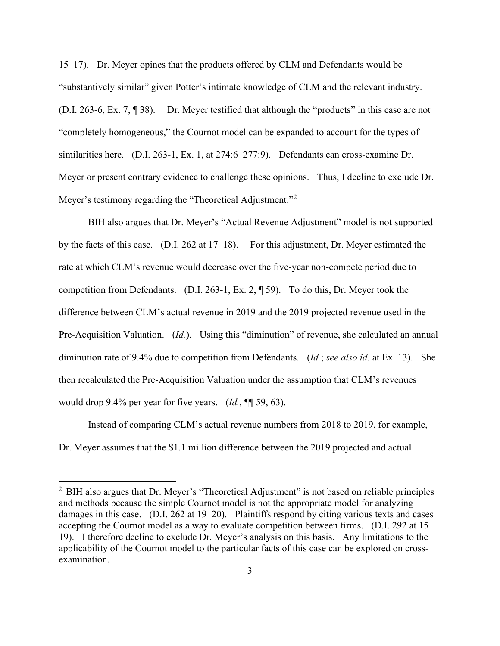15–17). Dr. Meyer opines that the products offered by CLM and Defendants would be "substantively similar" given Potter's intimate knowledge of CLM and the relevant industry. (D.I. 263-6, Ex. 7, ¶ 38). Dr. Meyer testified that although the "products" in this case are not "completely homogeneous," the Cournot model can be expanded to account for the types of similarities here. (D.I. 263-1, Ex. 1, at 274:6–277:9). Defendants can cross-examine Dr. Meyer or present contrary evidence to challenge these opinions. Thus, I decline to exclude Dr. Meyer's testimony regarding the "Theoretical Adjustment."<sup>[2](#page-2-0)</sup>

BIH also argues that Dr. Meyer's "Actual Revenue Adjustment" model is not supported by the facts of this case. (D.I. 262 at 17–18). For this adjustment, Dr. Meyer estimated the rate at which CLM's revenue would decrease over the five-year non-compete period due to competition from Defendants. (D.I. 263-1, Ex. 2, ¶ 59). To do this, Dr. Meyer took the difference between CLM's actual revenue in 2019 and the 2019 projected revenue used in the Pre-Acquisition Valuation. (*Id.*). Using this "diminution" of revenue, she calculated an annual diminution rate of 9.4% due to competition from Defendants. (*Id.*; *see also id.* at Ex. 13). She then recalculated the Pre-Acquisition Valuation under the assumption that CLM's revenues would drop 9.4% per year for five years. (*Id.*, ¶¶ 59, 63).

Instead of comparing CLM's actual revenue numbers from 2018 to 2019, for example, Dr. Meyer assumes that the \$1.1 million difference between the 2019 projected and actual

<span id="page-2-0"></span> $<sup>2</sup>$  BIH also argues that Dr. Meyer's "Theoretical Adjustment" is not based on reliable principles</sup> and methods because the simple Cournot model is not the appropriate model for analyzing damages in this case. (D.I. 262 at 19–20). Plaintiffs respond by citing various texts and cases accepting the Cournot model as a way to evaluate competition between firms. (D.I. 292 at 15– 19). I therefore decline to exclude Dr. Meyer's analysis on this basis. Any limitations to the applicability of the Cournot model to the particular facts of this case can be explored on crossexamination.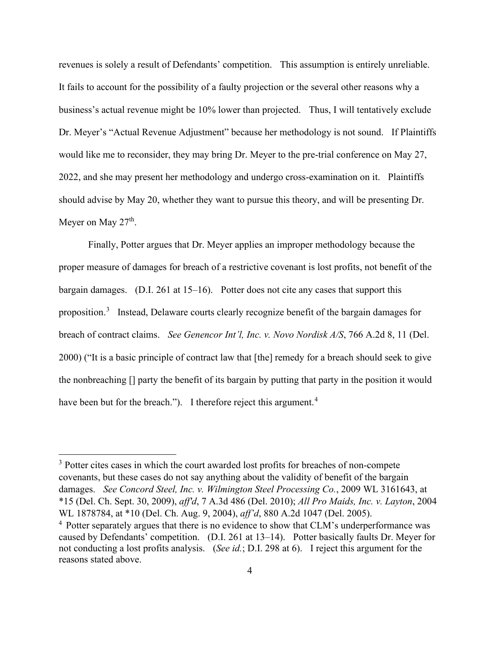revenues is solely a result of Defendants' competition. This assumption is entirely unreliable. It fails to account for the possibility of a faulty projection or the several other reasons why a business's actual revenue might be 10% lower than projected. Thus, I will tentatively exclude Dr. Meyer's "Actual Revenue Adjustment" because her methodology is not sound. If Plaintiffs would like me to reconsider, they may bring Dr. Meyer to the pre-trial conference on May 27, 2022, and she may present her methodology and undergo cross-examination on it. Plaintiffs should advise by May 20, whether they want to pursue this theory, and will be presenting Dr. Meyer on May  $27<sup>th</sup>$ .

Finally, Potter argues that Dr. Meyer applies an improper methodology because the proper measure of damages for breach of a restrictive covenant is lost profits, not benefit of the bargain damages. (D.I. 261 at 15–16). Potter does not cite any cases that support this proposition.<sup>[3](#page-3-0)</sup> Instead, Delaware courts clearly recognize benefit of the bargain damages for breach of contract claims. *See Genencor Int'l, Inc. v. Novo Nordisk A/S*, 766 A.2d 8, 11 (Del. 2000) ("It is a basic principle of contract law that [the] remedy for a breach should seek to give the nonbreaching [] party the benefit of its bargain by putting that party in the position it would have been but for the breach."). I therefore reject this argument.<sup>[4](#page-3-1)</sup>

<span id="page-3-0"></span><sup>&</sup>lt;sup>3</sup> Potter cites cases in which the court awarded lost profits for breaches of non-compete covenants, but these cases do not say anything about the validity of benefit of the bargain damages. *See Concord Steel, Inc. v. Wilmington Steel Processing Co.*, 2009 WL 3161643, at \*15 (Del. Ch. Sept. 30, 2009), *aff'd*, 7 A.3d 486 (Del. 2010); *All Pro Maids, Inc. v. Layton*, 2004 WL 1878784, at \*10 (Del. Ch. Aug. 9, 2004), *aff'd*, 880 A.2d 1047 (Del. 2005).

<span id="page-3-1"></span><sup>4</sup> Potter separately argues that there is no evidence to show that CLM's underperformance was caused by Defendants' competition. (D.I. 261 at 13–14). Potter basically faults Dr. Meyer for not conducting a lost profits analysis. (*See id.*; D.I. 298 at 6). I reject this argument for the reasons stated above.